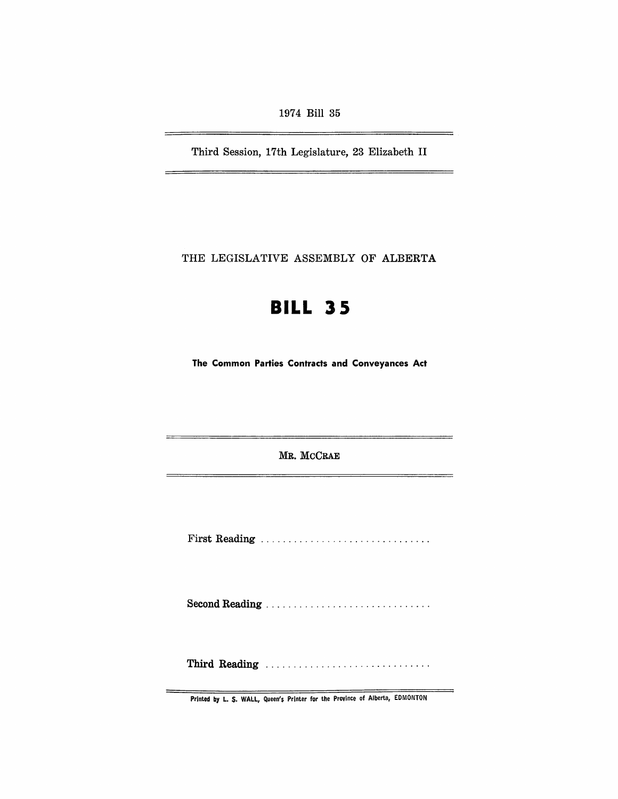1974 Bill 35

Third Session, 17th Legislature, 23 Elizabeth II

 $\equiv$ 

THE LEGISLATIVE ASSEMBLY OF ALBERTA

# **BILL 35**

The Common Parties Contracts and Conveyances Act

MR. MCCRAE

First Reading .............................. .

Second Reading .................................

Third Reading ................................

Printed by L. S. WALL, Queen's Printer for the province of Alberta, EDMONTON

⋍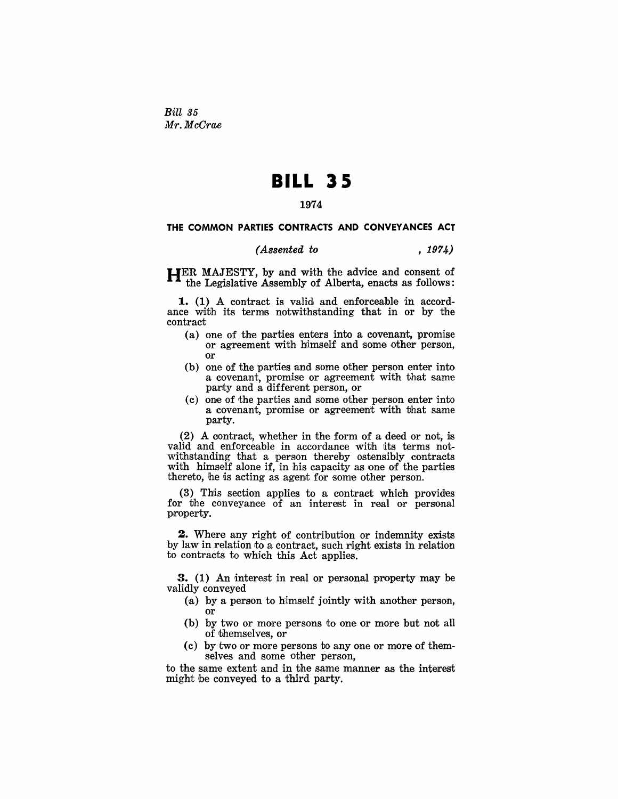*Bill 35 Mr. McCrae* 

## **BILL 35**

### 1974

#### THE COMMON PARTIES CONTRACTS AND CONVEYANCES ACT

#### *(Assented to* , 1974)

HER MAJESTY, by and with the advice and consent of the Legislative Assembly of Alberta, enacts as follows:

1. (1) A contract is valid and enforceable in accordance with its terms notwithstanding that in or by the contract

- (a) one of the parties enters into a covenant, promise or agreement with bimself and some other person, or
- (b) one of the parties and some other person enter into. a covenant, promise or agreement with that same party and a different person, or
- (c) one of the parties and some other person enter into a covenant, promise or agreement with that same party.

 $(2)$  A contract, whether in the form of a deed or not, is valid and enforceable in accordance with its terms notwithstanding that a person thereby ostensibly contracts with himself alone if, in his capacity as one of the parties thereto, he is acting as agent for some other person.

 $(3)$  This section applies to a contract which provides for the conveyance of an interest in real or personal property.

**2.** Where any right of contribution or indemnity exists by law in relation to a contract, such right exists in relation to contracts to which this Act applies.

3. (1) An interest in real or personal property may be validly conveyed

- (a) by a person to himself jointly with another person, **Or**
- (b) by two or more persons to one or more but not all of themselves, or
- $(c)$  by two or more persons to any one or more of themselves and some other person,

to the same extent and in the same manner as the interest might be conveyed to a third party.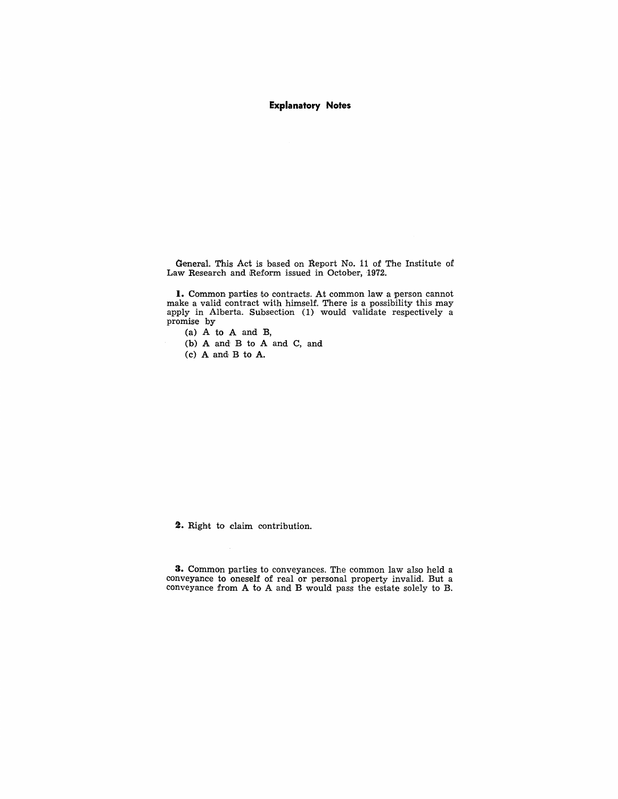### **Explanatory Notes**

General. This Act is based on Report No. 11 of The Institute of Law Research and Reform issued in October, 1972.

**I.** Common parties to contracts. At common law a person cannot make a valid contract with himself. There is a possibility this may apply in Alberta. Subsection (1) would validate respectively a promise by

- (a) A to A and B,
- (b) A and B to A and C, and
- (c) A and B to A.

'2. Right to claim contribution.

**3.** Common parties to conveyances. The common law also held a conveyance to oneself of real or personal property invalid. But a conveyance from A to A and B would pass the estate solely to B.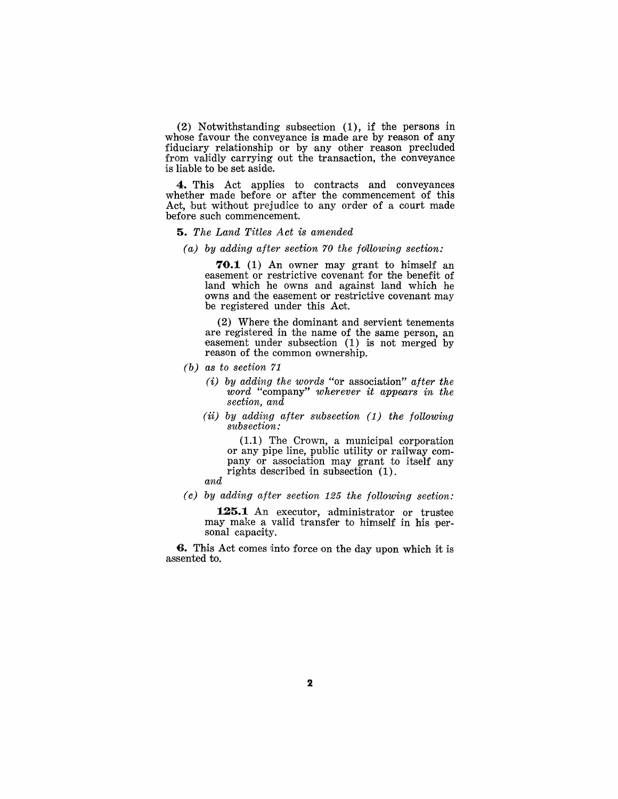(2) Notwithstanding subsection (1), if the persons in whose favour the conveyance is made are by reason of any fiduciary relationship or by any other reason precluded from validly carrying out the transaction, the conveyance is liable to be set aside.

**4.** This Act applies to contracts and conveyances whether made before or after the commencement of this Act, but without prejudice to any order of a court made before such commencement.

*5. The Land Titles Act is amended* 

*(a) by adding after section 70 the fOlllowing section:* 

**70.1** (1) An owner may grant to himself an easement or restrictive covenant for the benefit of land which he owns and against land which he owns and the easement or restrictive covenant may be registered under this Act.

(2) Where the dominant and servient tenements are registered in the name of the same person, an easement under subsection  $(1)$  is not merged by reason of the common ownership.

- *(b) as to section 71* 
	- (i) *by adding the words* "or association" *after the word* "company" *wherever it appears in the section, and*
	- (ii) *by adding after subsection* (1) *the following subsection:*

 $(1.1)$  The Crown, a municipal corporation or any pipe line, public utility or railway company or association may grant to itself any rights described in subsection  $(1)$ .

*and* 

*(c) by adding after section* 125 *the following section:* 

125.1 An executor, administrator or trustee may make a valid transfer to himself in his personal capacity.

**6.** This Act comes into force on the day upon which it is assented to.